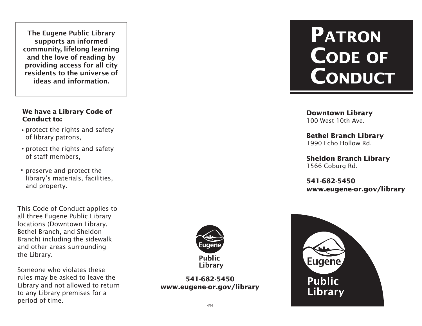The Eugene Public Library supports an informed community, lifelong learning and the love of reading by providing access for all city residents to the universe of ideas and information.

## **We have a Library Code of Conduct to: Downtown Library**

- protect the rights and safety of library patrons,
- protect the rights and safety of staff members,
- preserve and protect the library's materials, facilities, and property.

This Code of Conduct applies to all three Eugene Public Library locations (Downtown Library, Bethel Branch, and Sheldon Branch) including the sidewalk and other areas surrounding the Library.

Someone who violates these rules may be asked to leave the Library and not allowed to return to any Library premises for a period of time.



**541-682-5450 www.eugene-or.gov/library**

## **PATRON CODE OF CONDUCT**

100 West 10th Ave.

**Bethel Branch Library** 1990 Echo Hollow Rd.

**Sheldon Branch Library** 1566 Coburg Rd.

**541-682-5450 www.eugene-or.gov/library**